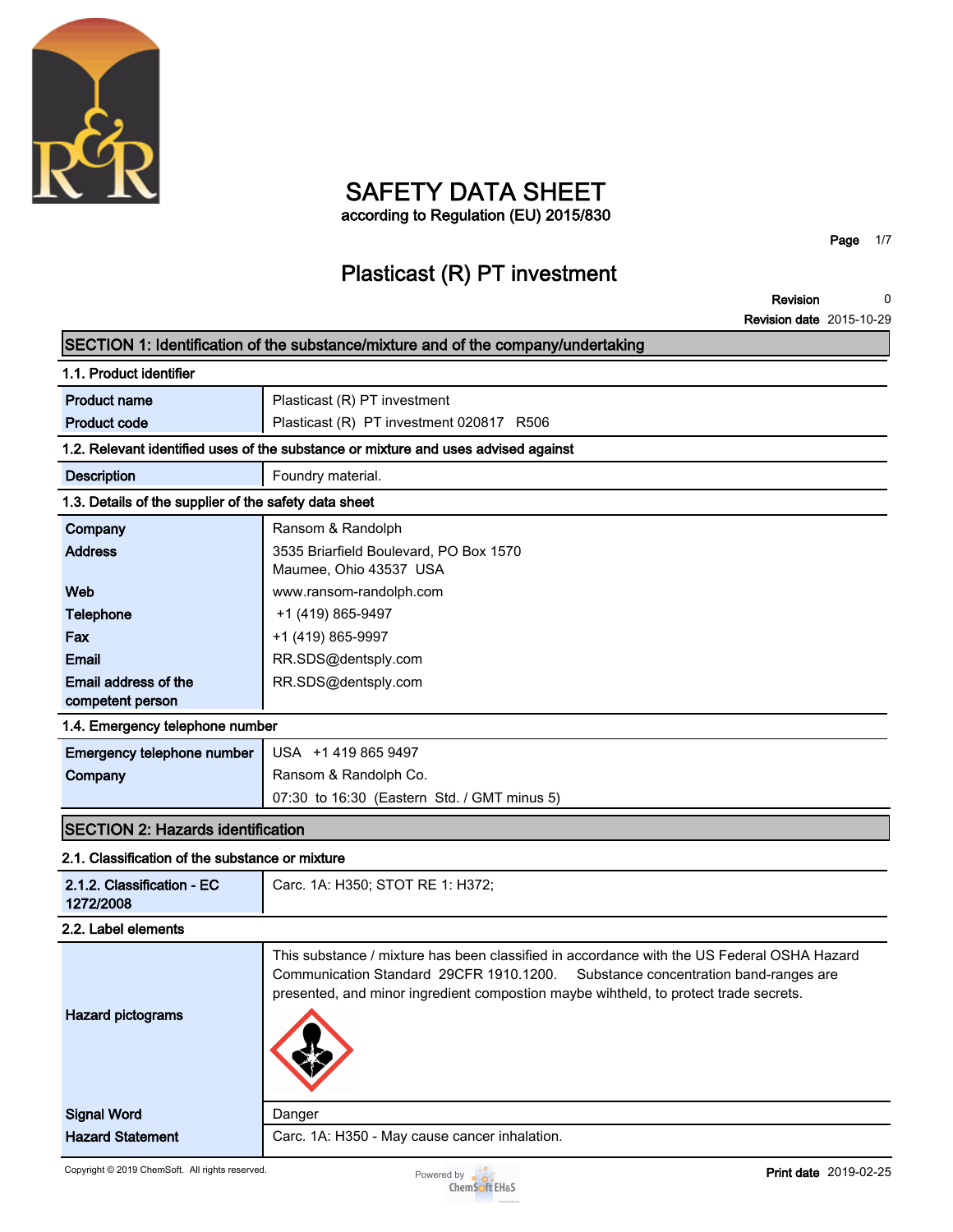

**1.1. Product identifier**

**Email address of the competent person**

# **SAFETY DATA SHEET**

**according to Regulation (EU) 2015/830**

**Page 1/7**

**Revision date 2015-10-29**

**0**

**Revision**

### **Plasticast (R) PT investment**

**SECTION 1: Identification of the substance/mixture and of the company/undertaking Product name Plasticast (R) PT investment Product code Product code Plasticast (R) PT investment 020817 R506 1.2. Relevant identified uses of the substance or mixture and uses advised against Description Foundry material. 1.3. Details of the supplier of the safety data sheet Company Ransom & Randolph Address 3535 Briarfield Boulevard, PO Box 1570 Maumee, Ohio 43537 USA Web www.ransom-randolph.com Telephone**  $+1$  (419) 865-9497 **Fax +1** (419) 865-9997 **Email RR.SDS@dentsply.com RR.SDS@dentsply.com 1.4. Emergency telephone number**

| <b>Emergency telephone number</b>   USA +1 419 865 9497 |                                             |
|---------------------------------------------------------|---------------------------------------------|
| Company                                                 | Ransom & Randolph Co.                       |
|                                                         | 07:30 to 16:30 (Eastern Std. / GMT minus 5) |

#### **SECTION 2: Hazards identification**

#### **2.1. Classification of the substance or mixture**

| 2.1.2. Classification - EC<br>1272/2008 | Carc. 1A: H350; STOT RE 1: H372;                                                                                                                                                                                                                                      |
|-----------------------------------------|-----------------------------------------------------------------------------------------------------------------------------------------------------------------------------------------------------------------------------------------------------------------------|
| 2.2. Label elements                     |                                                                                                                                                                                                                                                                       |
| <b>Hazard pictograms</b>                | This substance / mixture has been classified in accordance with the US Federal OSHA Hazard<br>Communication Standard 29CFR 1910.1200. Substance concentration band-ranges are<br>presented, and minor ingredient compostion maybe wintheld, to protect trade secrets. |
| <b>Signal Word</b>                      | Danger                                                                                                                                                                                                                                                                |
| <b>Hazard Statement</b>                 | Carc. 1A: H350 - May cause cancer inhalation.                                                                                                                                                                                                                         |

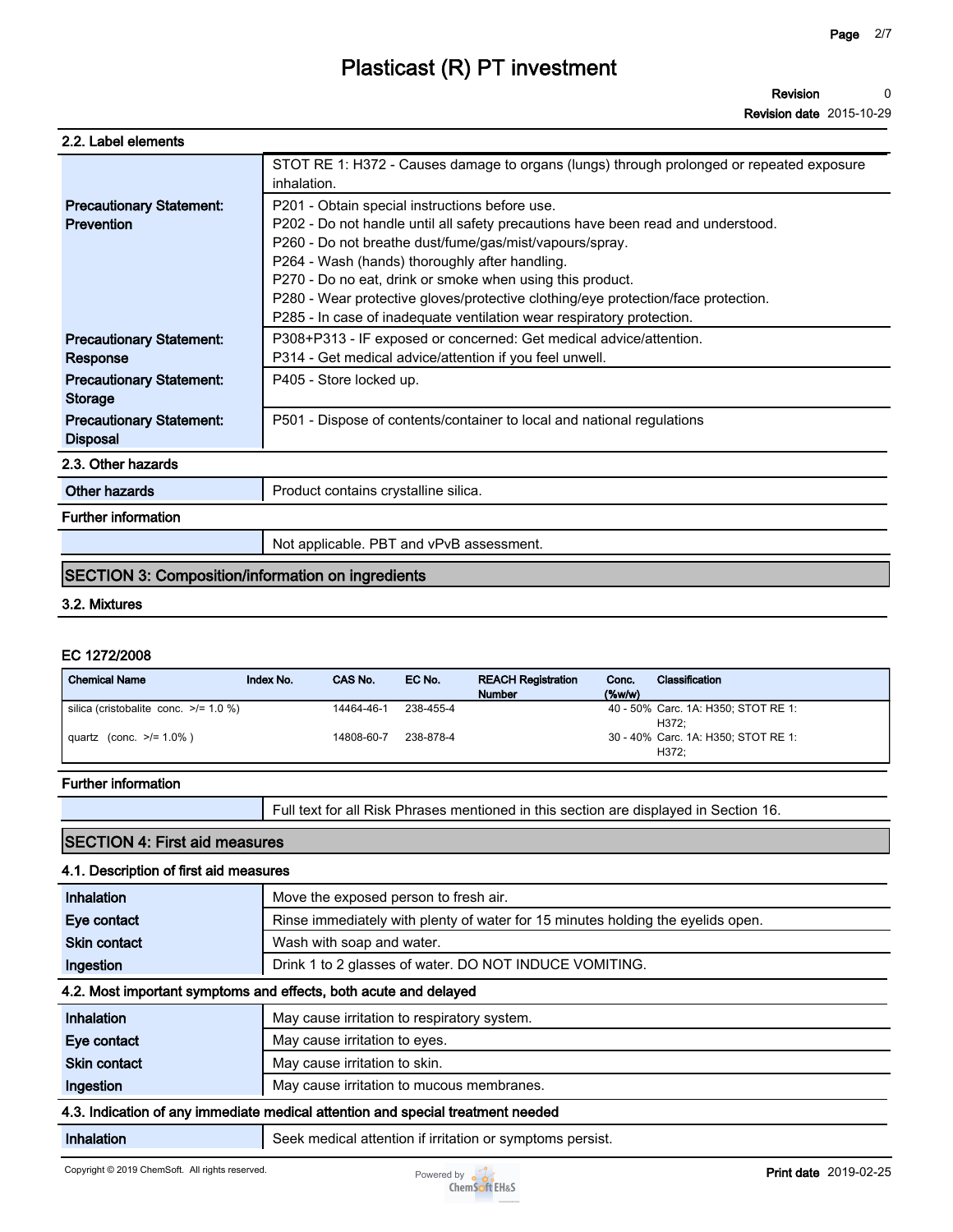**Revision date 2015-10-29**

|                                                      | STOT RE 1: H372 - Causes damage to organs (lungs) through prolonged or repeated exposure<br>inhalation.                            |
|------------------------------------------------------|------------------------------------------------------------------------------------------------------------------------------------|
| <b>Precautionary Statement:</b><br><b>Prevention</b> | P201 - Obtain special instructions before use.<br>P202 - Do not handle until all safety precautions have been read and understood. |
|                                                      | P260 - Do not breathe dust/fume/gas/mist/vapours/spray.<br>P264 - Wash (hands) thoroughly after handling.                          |
|                                                      | P270 - Do no eat, drink or smoke when using this product.                                                                          |
|                                                      | P280 - Wear protective gloves/protective clothing/eye protection/face protection.                                                  |
|                                                      | P285 - In case of inadequate ventilation wear respiratory protection.                                                              |
| <b>Precautionary Statement:</b>                      | P308+P313 - IF exposed or concerned: Get medical advice/attention.                                                                 |
| Response                                             | P314 - Get medical advice/attention if you feel unwell.                                                                            |
| <b>Precautionary Statement:</b><br><b>Storage</b>    | P405 - Store locked up.                                                                                                            |
| <b>Precautionary Statement:</b><br><b>Disposal</b>   | P501 - Dispose of contents/container to local and national regulations                                                             |
| 2.3. Other hazards                                   |                                                                                                                                    |
| Other hazards                                        | Product contains crystalline silica.                                                                                               |
| <b>Further information</b>                           |                                                                                                                                    |
|                                                      | Not applicable. PBT and vPvB assessment.                                                                                           |
|                                                      |                                                                                                                                    |

#### **SECTION 3: Composition/information on ingredients**

#### **3.2. Mixtures**

#### **EC 1272/2008**

| <b>Chemical Name</b>                       | Index No. | CAS No.    | EC No.    | <b>REACH Registration</b><br><b>Number</b> | Conc.<br>$($ %w/w $)$ | Classification                      |
|--------------------------------------------|-----------|------------|-----------|--------------------------------------------|-----------------------|-------------------------------------|
| silica (cristobalite conc. $\ge$ /= 1.0 %) |           | 14464-46-1 | 238-455-4 |                                            |                       | 40 - 50% Carc. 1A: H350; STOT RE 1: |
|                                            |           |            |           |                                            |                       | H372:                               |
| quartz (conc. $>1.0\%$ )                   |           | 14808-60-7 | 238-878-4 |                                            |                       | 30 - 40% Carc. 1A: H350; STOT RE 1: |
|                                            |           |            |           |                                            |                       | H372:                               |

#### **Further information**

|  | Full text for all Risk Phrases mentioned in this section are displayed in Section 16. |
|--|---------------------------------------------------------------------------------------|
|--|---------------------------------------------------------------------------------------|

### **SECTION 4: First aid measures**

| 4.1. Description of first aid measures                                          |                                                                                 |  |
|---------------------------------------------------------------------------------|---------------------------------------------------------------------------------|--|
| Inhalation                                                                      | Move the exposed person to fresh air.                                           |  |
| Eye contact                                                                     | Rinse immediately with plenty of water for 15 minutes holding the eyelids open. |  |
| <b>Skin contact</b>                                                             | Wash with soap and water.                                                       |  |
| Ingestion                                                                       | Drink 1 to 2 glasses of water. DO NOT INDUCE VOMITING.                          |  |
| 4.2. Most important symptoms and effects, both acute and delayed                |                                                                                 |  |
| Inhalation                                                                      | May cause irritation to respiratory system.                                     |  |
| Eye contact                                                                     | May cause irritation to eyes.                                                   |  |
| <b>Skin contact</b>                                                             | May cause irritation to skin.                                                   |  |
| Ingestion                                                                       | May cause irritation to mucous membranes.                                       |  |
| 4.3. Indication of any immediate medical attention and special treatment needed |                                                                                 |  |
| Inhalation                                                                      | Seek medical attention if irritation or symptoms persist.                       |  |

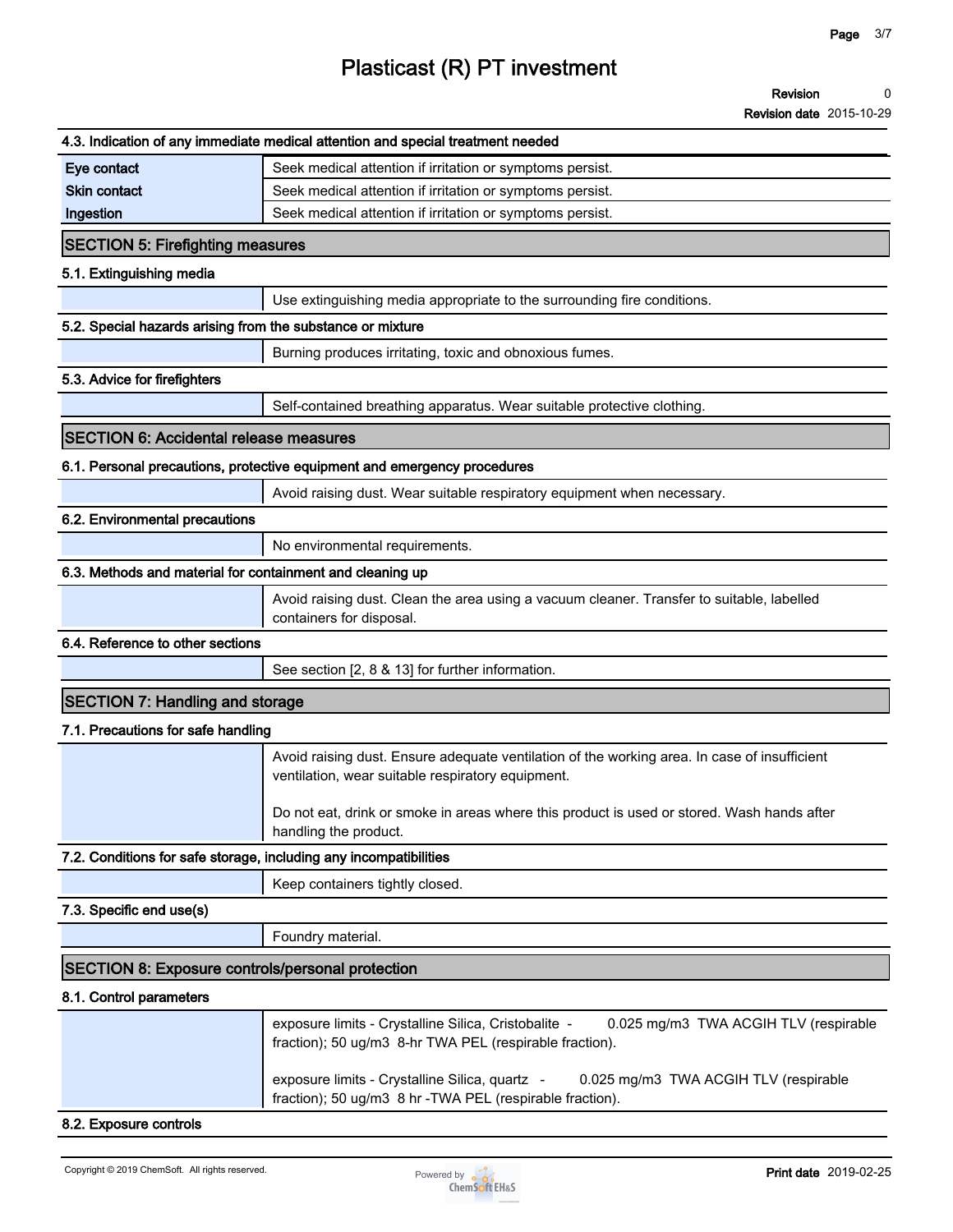**Revision 0**

**Revision date 2015-10-29**

|                                                                   | 4.3. Indication of any immediate medical attention and special treatment needed                                                                          |
|-------------------------------------------------------------------|----------------------------------------------------------------------------------------------------------------------------------------------------------|
| Eye contact                                                       | Seek medical attention if irritation or symptoms persist.                                                                                                |
| <b>Skin contact</b>                                               | Seek medical attention if irritation or symptoms persist.                                                                                                |
| Ingestion                                                         | Seek medical attention if irritation or symptoms persist.                                                                                                |
| <b>SECTION 5: Firefighting measures</b>                           |                                                                                                                                                          |
| 5.1. Extinguishing media                                          |                                                                                                                                                          |
|                                                                   | Use extinguishing media appropriate to the surrounding fire conditions.                                                                                  |
| 5.2. Special hazards arising from the substance or mixture        |                                                                                                                                                          |
|                                                                   | Burning produces irritating, toxic and obnoxious fumes.                                                                                                  |
| 5.3. Advice for firefighters                                      |                                                                                                                                                          |
|                                                                   | Self-contained breathing apparatus. Wear suitable protective clothing.                                                                                   |
| <b>SECTION 6: Accidental release measures</b>                     |                                                                                                                                                          |
|                                                                   | 6.1. Personal precautions, protective equipment and emergency procedures                                                                                 |
|                                                                   | Avoid raising dust. Wear suitable respiratory equipment when necessary.                                                                                  |
| 6.2. Environmental precautions                                    |                                                                                                                                                          |
|                                                                   | No environmental requirements.                                                                                                                           |
| 6.3. Methods and material for containment and cleaning up         |                                                                                                                                                          |
|                                                                   | Avoid raising dust. Clean the area using a vacuum cleaner. Transfer to suitable, labelled<br>containers for disposal.                                    |
| 6.4. Reference to other sections                                  |                                                                                                                                                          |
|                                                                   | See section [2, 8 & 13] for further information.                                                                                                         |
| <b>SECTION 7: Handling and storage</b>                            |                                                                                                                                                          |
| 7.1. Precautions for safe handling                                |                                                                                                                                                          |
|                                                                   | Avoid raising dust. Ensure adequate ventilation of the working area. In case of insufficient<br>ventilation, wear suitable respiratory equipment.        |
|                                                                   | Do not eat, drink or smoke in areas where this product is used or stored. Wash hands after<br>handling the product.                                      |
| 7.2. Conditions for safe storage, including any incompatibilities |                                                                                                                                                          |
|                                                                   | Keep containers tightly closed.                                                                                                                          |
| 7.3. Specific end use(s)                                          |                                                                                                                                                          |
|                                                                   | Foundry material.                                                                                                                                        |
| <b>SECTION 8: Exposure controls/personal protection</b>           |                                                                                                                                                          |
| 8.1. Control parameters                                           |                                                                                                                                                          |
|                                                                   | exposure limits - Crystalline Silica, Cristobalite -<br>0.025 mg/m3 TWA ACGIH TLV (respirable<br>fraction); 50 ug/m3 8-hr TWA PEL (respirable fraction). |
|                                                                   | exposure limits - Crystalline Silica, quartz -<br>0.025 mg/m3 TWA ACGIH TLV (respirable<br>fraction); 50 ug/m3 8 hr - TWA PEL (respirable fraction).     |
| 8.2. Exposure controls                                            |                                                                                                                                                          |

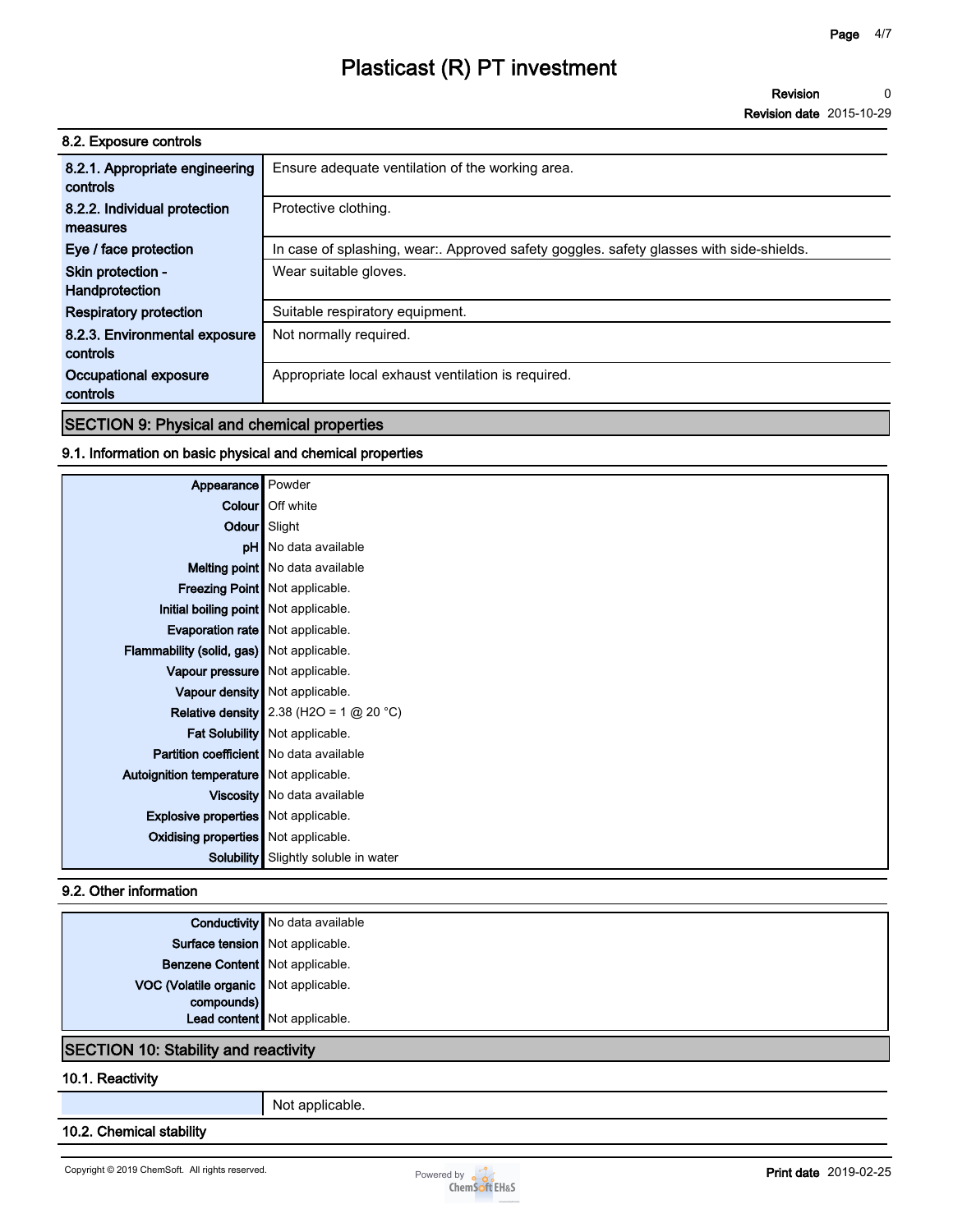**Revision 0**

**Revision date 2015-10-29**

| 8.2. Exposure controls                     |                                                                                       |
|--------------------------------------------|---------------------------------------------------------------------------------------|
| 8.2.1. Appropriate engineering<br>controls | Ensure adequate ventilation of the working area.                                      |
| 8.2.2. Individual protection               | Protective clothing.                                                                  |
| measures                                   |                                                                                       |
| Eye / face protection                      | In case of splashing, wear Approved safety goggles. safety glasses with side-shields. |
| Skin protection -                          | Wear suitable gloves.                                                                 |
| Handprotection                             |                                                                                       |
| <b>Respiratory protection</b>              | Suitable respiratory equipment.                                                       |
| 8.2.3. Environmental exposure              | Not normally required.                                                                |
| controls                                   |                                                                                       |
| Occupational exposure                      | Appropriate local exhaust ventilation is required.                                    |
| controls                                   |                                                                                       |

#### **SECTION 9: Physical and chemical properties**

#### **9.1. Information on basic physical and chemical properties**

| Appearance                                     | Powder                                    |
|------------------------------------------------|-------------------------------------------|
|                                                | <b>Colour</b> Off white                   |
|                                                | Odour Slight                              |
|                                                | <b>pH</b> No data available               |
|                                                | Melting point   No data available         |
|                                                | <b>Freezing Point</b> Not applicable.     |
| Initial boiling point   Not applicable.        |                                           |
| Evaporation rate   Not applicable.             |                                           |
| Flammability (solid, gas) Not applicable.      |                                           |
| Vapour pressure   Not applicable.              |                                           |
|                                                | Vapour density   Not applicable.          |
|                                                | Relative density 2.38 (H2O = 1 $@$ 20 °C) |
|                                                | Fat Solubility   Not applicable.          |
| <b>Partition coefficient</b> No data available |                                           |
| Autoignition temperature   Not applicable.     |                                           |
|                                                | Viscosity   No data available             |
| <b>Explosive properties</b> Not applicable.    |                                           |
| <b>Oxidising properties</b> Not applicable.    |                                           |
| Solubility                                     | Slightly soluble in water                 |

#### **9.2. Other information**

|                                       | <b>Conductivity</b> No data available |
|---------------------------------------|---------------------------------------|
| Surface tension Not applicable.       |                                       |
| Benzene Content   Not applicable.     |                                       |
| VOC (Volatile organic Not applicable. |                                       |
| compounds)                            |                                       |
|                                       | Lead content Not applicable.          |

#### **SECTION 10: Stability and reactivity**

#### **10.1. Reactivity**

**Not applicable.**

#### **10.2. Chemical stability**

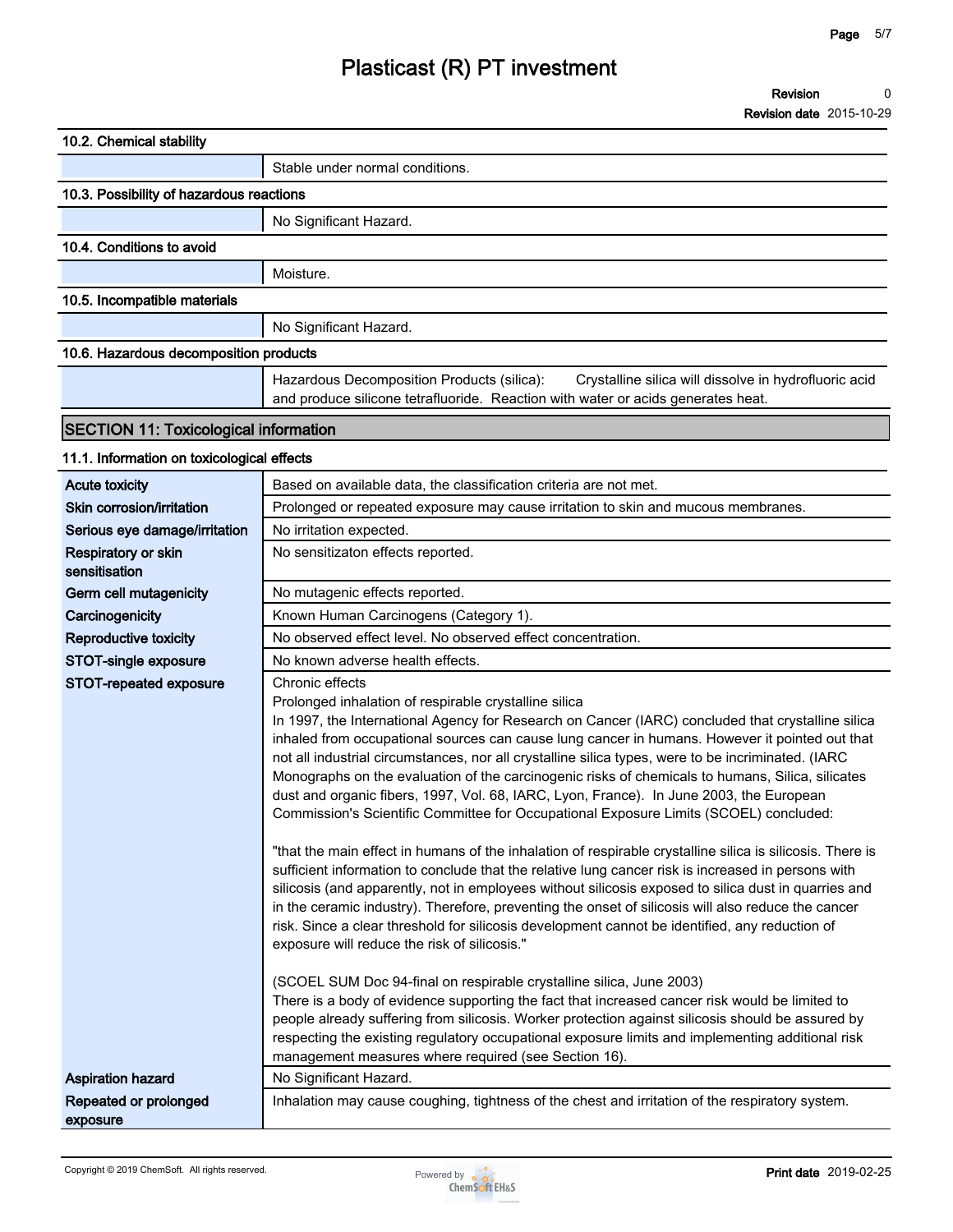#### **Revision 0**

**Revision date 2015-10-29**

| 10.2. Chemical stability                     |                                                                                                                                                                                                                                                                                                                                                                                                                                                                                                                                                                                                                                                                                                                                                                                                                                                                                                                                                                                                                                                                                                                                                                                                                                                                                                                                                                                                                                                                                                                                                                                                                                                                                                             |  |
|----------------------------------------------|-------------------------------------------------------------------------------------------------------------------------------------------------------------------------------------------------------------------------------------------------------------------------------------------------------------------------------------------------------------------------------------------------------------------------------------------------------------------------------------------------------------------------------------------------------------------------------------------------------------------------------------------------------------------------------------------------------------------------------------------------------------------------------------------------------------------------------------------------------------------------------------------------------------------------------------------------------------------------------------------------------------------------------------------------------------------------------------------------------------------------------------------------------------------------------------------------------------------------------------------------------------------------------------------------------------------------------------------------------------------------------------------------------------------------------------------------------------------------------------------------------------------------------------------------------------------------------------------------------------------------------------------------------------------------------------------------------------|--|
|                                              | Stable under normal conditions.                                                                                                                                                                                                                                                                                                                                                                                                                                                                                                                                                                                                                                                                                                                                                                                                                                                                                                                                                                                                                                                                                                                                                                                                                                                                                                                                                                                                                                                                                                                                                                                                                                                                             |  |
| 10.3. Possibility of hazardous reactions     |                                                                                                                                                                                                                                                                                                                                                                                                                                                                                                                                                                                                                                                                                                                                                                                                                                                                                                                                                                                                                                                                                                                                                                                                                                                                                                                                                                                                                                                                                                                                                                                                                                                                                                             |  |
|                                              | No Significant Hazard.                                                                                                                                                                                                                                                                                                                                                                                                                                                                                                                                                                                                                                                                                                                                                                                                                                                                                                                                                                                                                                                                                                                                                                                                                                                                                                                                                                                                                                                                                                                                                                                                                                                                                      |  |
| 10.4. Conditions to avoid                    |                                                                                                                                                                                                                                                                                                                                                                                                                                                                                                                                                                                                                                                                                                                                                                                                                                                                                                                                                                                                                                                                                                                                                                                                                                                                                                                                                                                                                                                                                                                                                                                                                                                                                                             |  |
|                                              | Moisture.                                                                                                                                                                                                                                                                                                                                                                                                                                                                                                                                                                                                                                                                                                                                                                                                                                                                                                                                                                                                                                                                                                                                                                                                                                                                                                                                                                                                                                                                                                                                                                                                                                                                                                   |  |
| 10.5. Incompatible materials                 |                                                                                                                                                                                                                                                                                                                                                                                                                                                                                                                                                                                                                                                                                                                                                                                                                                                                                                                                                                                                                                                                                                                                                                                                                                                                                                                                                                                                                                                                                                                                                                                                                                                                                                             |  |
|                                              | No Significant Hazard.                                                                                                                                                                                                                                                                                                                                                                                                                                                                                                                                                                                                                                                                                                                                                                                                                                                                                                                                                                                                                                                                                                                                                                                                                                                                                                                                                                                                                                                                                                                                                                                                                                                                                      |  |
| 10.6. Hazardous decomposition products       |                                                                                                                                                                                                                                                                                                                                                                                                                                                                                                                                                                                                                                                                                                                                                                                                                                                                                                                                                                                                                                                                                                                                                                                                                                                                                                                                                                                                                                                                                                                                                                                                                                                                                                             |  |
|                                              | Hazardous Decomposition Products (silica):<br>Crystalline silica will dissolve in hydrofluoric acid<br>and produce silicone tetrafluoride. Reaction with water or acids generates heat.                                                                                                                                                                                                                                                                                                                                                                                                                                                                                                                                                                                                                                                                                                                                                                                                                                                                                                                                                                                                                                                                                                                                                                                                                                                                                                                                                                                                                                                                                                                     |  |
| <b>SECTION 11: Toxicological information</b> |                                                                                                                                                                                                                                                                                                                                                                                                                                                                                                                                                                                                                                                                                                                                                                                                                                                                                                                                                                                                                                                                                                                                                                                                                                                                                                                                                                                                                                                                                                                                                                                                                                                                                                             |  |
| 11.1. Information on toxicological effects   |                                                                                                                                                                                                                                                                                                                                                                                                                                                                                                                                                                                                                                                                                                                                                                                                                                                                                                                                                                                                                                                                                                                                                                                                                                                                                                                                                                                                                                                                                                                                                                                                                                                                                                             |  |
| <b>Acute toxicity</b>                        | Based on available data, the classification criteria are not met.                                                                                                                                                                                                                                                                                                                                                                                                                                                                                                                                                                                                                                                                                                                                                                                                                                                                                                                                                                                                                                                                                                                                                                                                                                                                                                                                                                                                                                                                                                                                                                                                                                           |  |
| Skin corrosion/irritation                    | Prolonged or repeated exposure may cause irritation to skin and mucous membranes.                                                                                                                                                                                                                                                                                                                                                                                                                                                                                                                                                                                                                                                                                                                                                                                                                                                                                                                                                                                                                                                                                                                                                                                                                                                                                                                                                                                                                                                                                                                                                                                                                           |  |
| Serious eye damage/irritation                | No irritation expected.                                                                                                                                                                                                                                                                                                                                                                                                                                                                                                                                                                                                                                                                                                                                                                                                                                                                                                                                                                                                                                                                                                                                                                                                                                                                                                                                                                                                                                                                                                                                                                                                                                                                                     |  |
| Respiratory or skin<br>sensitisation         | No sensitizaton effects reported.                                                                                                                                                                                                                                                                                                                                                                                                                                                                                                                                                                                                                                                                                                                                                                                                                                                                                                                                                                                                                                                                                                                                                                                                                                                                                                                                                                                                                                                                                                                                                                                                                                                                           |  |
| Germ cell mutagenicity                       | No mutagenic effects reported.                                                                                                                                                                                                                                                                                                                                                                                                                                                                                                                                                                                                                                                                                                                                                                                                                                                                                                                                                                                                                                                                                                                                                                                                                                                                                                                                                                                                                                                                                                                                                                                                                                                                              |  |
| Carcinogenicity                              | Known Human Carcinogens (Category 1).                                                                                                                                                                                                                                                                                                                                                                                                                                                                                                                                                                                                                                                                                                                                                                                                                                                                                                                                                                                                                                                                                                                                                                                                                                                                                                                                                                                                                                                                                                                                                                                                                                                                       |  |
| <b>Reproductive toxicity</b>                 | No observed effect level. No observed effect concentration.                                                                                                                                                                                                                                                                                                                                                                                                                                                                                                                                                                                                                                                                                                                                                                                                                                                                                                                                                                                                                                                                                                                                                                                                                                                                                                                                                                                                                                                                                                                                                                                                                                                 |  |
| STOT-single exposure                         | No known adverse health effects.                                                                                                                                                                                                                                                                                                                                                                                                                                                                                                                                                                                                                                                                                                                                                                                                                                                                                                                                                                                                                                                                                                                                                                                                                                                                                                                                                                                                                                                                                                                                                                                                                                                                            |  |
| STOT-repeated exposure                       | Chronic effects<br>Prolonged inhalation of respirable crystalline silica<br>In 1997, the International Agency for Research on Cancer (IARC) concluded that crystalline silica<br>inhaled from occupational sources can cause lung cancer in humans. However it pointed out that<br>not all industrial circumstances, nor all crystalline silica types, were to be incriminated. (IARC<br>Monographs on the evaluation of the carcinogenic risks of chemicals to humans, Silica, silicates<br>dust and organic fibers, 1997, Vol. 68, IARC, Lyon, France). In June 2003, the European<br>Commission's Scientific Committee for Occupational Exposure Limits (SCOEL) concluded:<br>"that the main effect in humans of the inhalation of respirable crystalline silica is silicosis. There is<br>sufficient information to conclude that the relative lung cancer risk is increased in persons with<br>silicosis (and apparently, not in employees without silicosis exposed to silica dust in quarries and<br>in the ceramic industry). Therefore, preventing the onset of silicosis will also reduce the cancer<br>risk. Since a clear threshold for silicosis development cannot be identified, any reduction of<br>exposure will reduce the risk of silicosis."<br>(SCOEL SUM Doc 94-final on respirable crystalline silica, June 2003)<br>There is a body of evidence supporting the fact that increased cancer risk would be limited to<br>people already suffering from silicosis. Worker protection against silicosis should be assured by<br>respecting the existing regulatory occupational exposure limits and implementing additional risk<br>management measures where required (see Section 16). |  |
| <b>Aspiration hazard</b>                     | No Significant Hazard.                                                                                                                                                                                                                                                                                                                                                                                                                                                                                                                                                                                                                                                                                                                                                                                                                                                                                                                                                                                                                                                                                                                                                                                                                                                                                                                                                                                                                                                                                                                                                                                                                                                                                      |  |
| Repeated or prolonged<br>exposure            | Inhalation may cause coughing, tightness of the chest and irritation of the respiratory system.                                                                                                                                                                                                                                                                                                                                                                                                                                                                                                                                                                                                                                                                                                                                                                                                                                                                                                                                                                                                                                                                                                                                                                                                                                                                                                                                                                                                                                                                                                                                                                                                             |  |

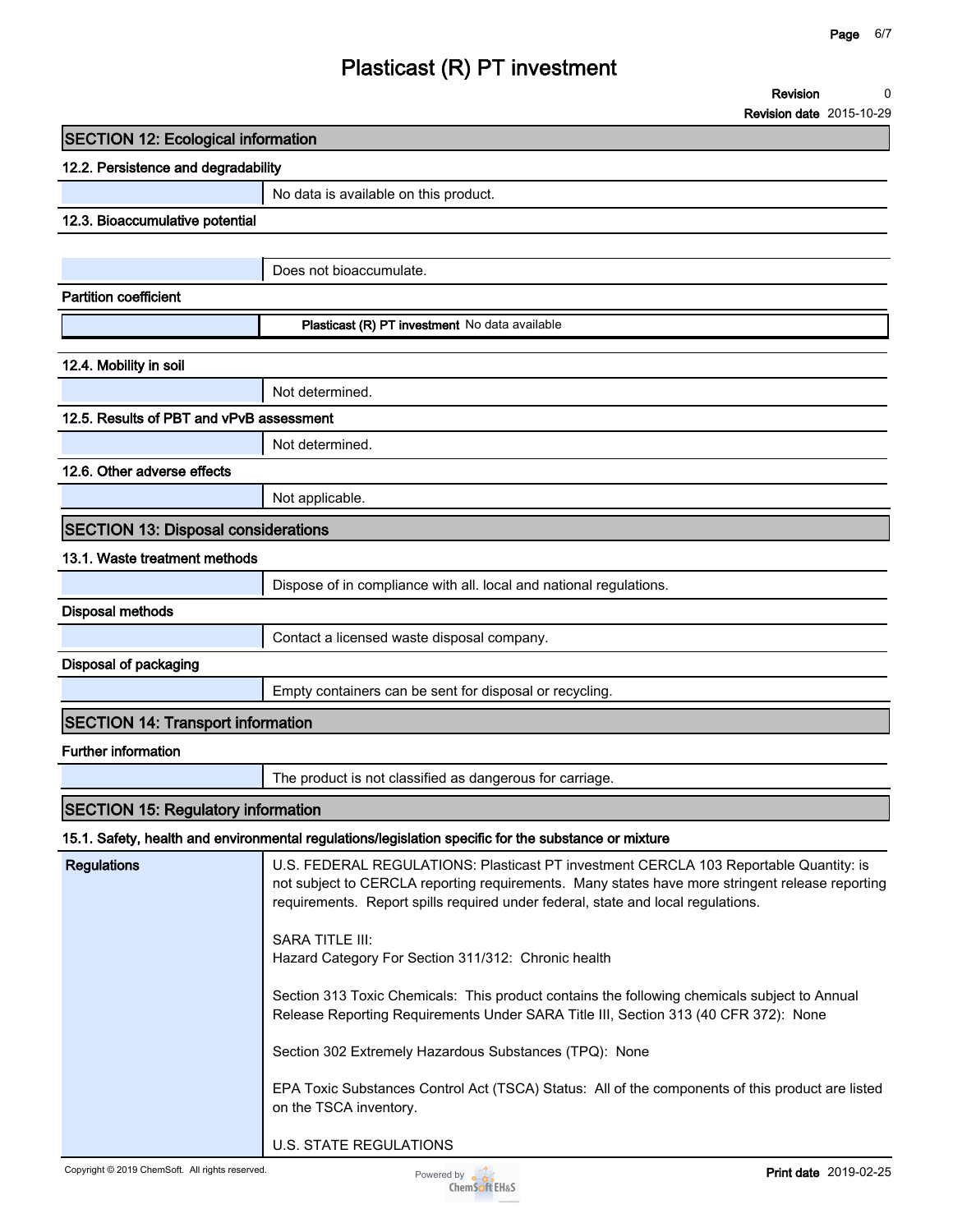**Revision 0**

**Revision date 2015-10-29**

### **SECTION 12: Ecological information**

| 12.2. Persistence and degradability |                                                       |  |
|-------------------------------------|-------------------------------------------------------|--|
|                                     | No data is available on this product.                 |  |
| 12.3. Bioaccumulative potential     |                                                       |  |
|                                     |                                                       |  |
|                                     | Does not bioaccumulate.                               |  |
| <b>Partition coefficient</b>        |                                                       |  |
|                                     | <b>Plasticast (R) PT investment</b> No data available |  |
|                                     |                                                       |  |
| 12.4. Mobility in soil              |                                                       |  |
|                                     | Not determined.                                       |  |

**12.5. Results of PBT and vPvB assessment**

**Not determined.**

#### **12.6. Other adverse effects**

**Not applicable.**

#### **SECTION 13: Disposal considerations**

#### **13.1. Waste treatment methods**

|                                          | Dispose of in compliance with all. local and national regulations. |
|------------------------------------------|--------------------------------------------------------------------|
| Disposal methods                         |                                                                    |
|                                          | Contact a licensed waste disposal company.                         |
| Disposal of packaging                    |                                                                    |
|                                          | Empty containers can be sent for disposal or recycling.            |
|                                          |                                                                    |
| <b>SECTION 14: Transport information</b> |                                                                    |

#### **Further information**

**The product is not classified as dangerous for carriage.**

#### **SECTION 15: Regulatory information**

**15.1. Safety, health and environmental regulations/legislation specific for the substance or mixture**

| <b>Regulations</b> | U.S. FEDERAL REGULATIONS: Plasticast PT investment CERCLA 103 Reportable Quantity: is<br>not subject to CERCLA reporting requirements. Many states have more stringent release reporting<br>requirements. Report spills required under federal, state and local requiations. |
|--------------------|------------------------------------------------------------------------------------------------------------------------------------------------------------------------------------------------------------------------------------------------------------------------------|
|                    | <b>SARA TITLE III:</b><br>Hazard Category For Section 311/312: Chronic health                                                                                                                                                                                                |
|                    | Section 313 Toxic Chemicals: This product contains the following chemicals subject to Annual<br>Release Reporting Requirements Under SARA Title III, Section 313 (40 CFR 372): None                                                                                          |
|                    | Section 302 Extremely Hazardous Substances (TPQ): None                                                                                                                                                                                                                       |
|                    | EPA Toxic Substances Control Act (TSCA) Status: All of the components of this product are listed<br>on the TSCA inventory.                                                                                                                                                   |
|                    | U.S. STATE REGULATIONS                                                                                                                                                                                                                                                       |